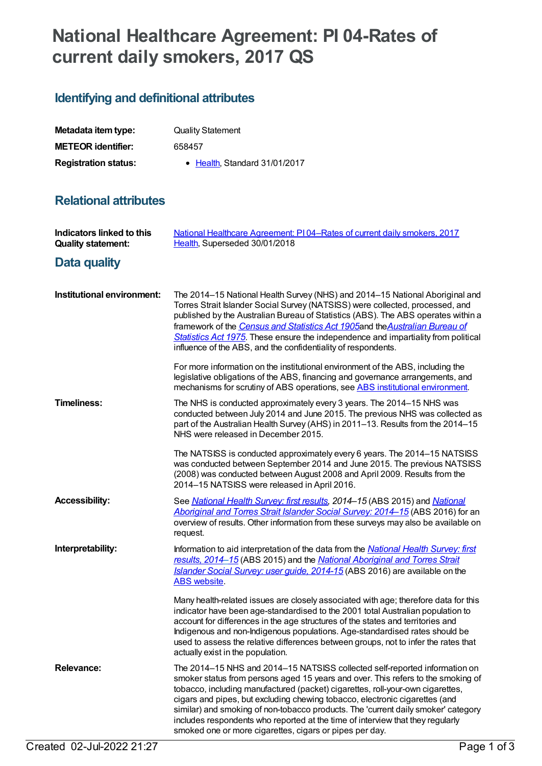# **National Healthcare Agreement: PI 04-Rates of current daily smokers, 2017 QS**

# **Identifying and definitional attributes**

| Metadata item type:         | <b>Quality Statement</b>      |
|-----------------------------|-------------------------------|
| <b>METEOR identifier:</b>   | 658457                        |
| <b>Registration status:</b> | • Health, Standard 31/01/2017 |

### **Relational attributes**

| <b>Indicators linked to this</b><br><b>Quality statement:</b> | National Healthcare Agreement: P104–Rates of current daily smokers, 2017<br>Health, Superseded 30/01/2018                                                                                                                                                                                                                                                                                                                                                                                                                                                         |
|---------------------------------------------------------------|-------------------------------------------------------------------------------------------------------------------------------------------------------------------------------------------------------------------------------------------------------------------------------------------------------------------------------------------------------------------------------------------------------------------------------------------------------------------------------------------------------------------------------------------------------------------|
| Data quality                                                  |                                                                                                                                                                                                                                                                                                                                                                                                                                                                                                                                                                   |
| Institutional environment:                                    | The 2014-15 National Health Survey (NHS) and 2014-15 National Aboriginal and<br>Torres Strait Islander Social Survey (NATSISS) were collected, processed, and<br>published by the Australian Bureau of Statistics (ABS). The ABS operates within a<br>framework of the Census and Statistics Act 1905and the Australian Bureau of<br>Statistics Act 1975. These ensure the independence and impartiality from political<br>influence of the ABS, and the confidentiality of respondents.                                                                          |
|                                                               | For more information on the institutional environment of the ABS, including the<br>legislative obligations of the ABS, financing and governance arrangements, and<br>mechanisms for scrutiny of ABS operations, see ABS institutional environment.                                                                                                                                                                                                                                                                                                                |
| <b>Timeliness:</b>                                            | The NHS is conducted approximately every 3 years. The 2014–15 NHS was<br>conducted between July 2014 and June 2015. The previous NHS was collected as<br>part of the Australian Health Survey (AHS) in 2011-13. Results from the 2014-15<br>NHS were released in December 2015.                                                                                                                                                                                                                                                                                   |
|                                                               | The NATSISS is conducted approximately every 6 years. The 2014-15 NATSISS<br>was conducted between September 2014 and June 2015. The previous NATSISS<br>(2008) was conducted between August 2008 and April 2009. Results from the<br>2014-15 NATSISS were released in April 2016.                                                                                                                                                                                                                                                                                |
| <b>Accessibility:</b>                                         | See National Health Survey: first results, 2014-15 (ABS 2015) and National<br>Aboriginal and Torres Strait Islander Social Survey: 2014-15 (ABS 2016) for an<br>overview of results. Other information from these surveys may also be available on<br>request.                                                                                                                                                                                                                                                                                                    |
| Interpretability:                                             | Information to aid interpretation of the data from the National Health Survey: first<br>results, 2014-15 (ABS 2015) and the National Aboriginal and Torres Strait<br>Islander Social Survey: user guide, 2014-15 (ABS 2016) are available on the<br><b>ABS</b> website.                                                                                                                                                                                                                                                                                           |
|                                                               | Many health-related issues are closely associated with age; therefore data for this<br>indicator have been age-standardised to the 2001 total Australian population to<br>account for differences in the age structures of the states and territories and<br>Indigenous and non-Indigenous populations. Age-standardised rates should be<br>used to assess the relative differences between groups, not to infer the rates that<br>actually exist in the population.                                                                                              |
| <b>Relevance:</b>                                             | The 2014–15 NHS and 2014–15 NATSISS collected self-reported information on<br>smoker status from persons aged 15 years and over. This refers to the smoking of<br>tobacco, including manufactured (packet) cigarettes, roll-your-own cigarettes,<br>cigars and pipes, but excluding chewing tobacco, electronic cigarettes (and<br>similar) and smoking of non-tobacco products. The 'current daily smoker' category<br>includes respondents who reported at the time of interview that they regularly<br>smoked one or more cigarettes, cigars or pipes per day. |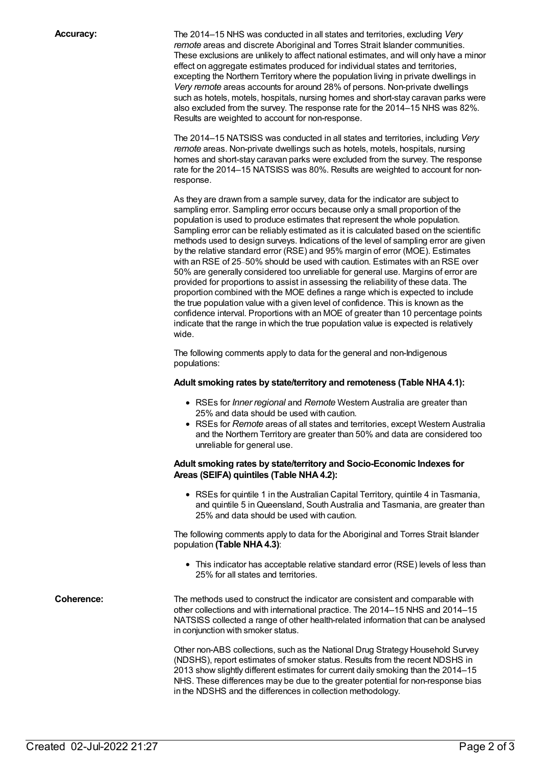**Accuracy:** The 2014–15 NHS was conducted in all states and territories, excluding *Very remote* areas and discrete Aboriginal and Torres Strait Islander communities. These exclusions are unlikely to affect national estimates, and will only have a minor effect on aggregate estimates produced for individual states and territories, excepting the Northern Territory where the population living in private dwellings in *Very remote* areas accounts for around 28% of persons. Non-private dwellings such as hotels, motels, hospitals, nursing homes and short-stay caravan parks were also excluded from the survey. The response rate for the 2014–15 NHS was 82%. Results are weighted to account for non-response.

> The 2014–15 NATSISS was conducted in all states and territories, including *Very remote* areas. Non-private dwellings such as hotels, motels, hospitals, nursing homes and short-stay caravan parks were excluded from the survey. The response rate for the 2014–15 NATSISS was 80%. Results are weighted to account for nonresponse.

As they are drawn from a sample survey, data for the indicator are subject to sampling error. Sampling error occurs because only a small proportion of the population is used to produce estimates that represent the whole population. Sampling error can be reliably estimated as it is calculated based on the scientific methods used to design surveys. Indications of the level of sampling error are given by the relative standard error (RSE) and 95% margin of error (MOE). Estimates with an RSE of 25–50% should be used with caution. Estimates with an RSE over 50% are generally considered too unreliable for general use. Margins of error are provided for proportions to assist in assessing the reliability of these data. The proportion combined with the MOE defines a range which is expected to include the true population value with a given level of confidence. This is known as the confidence interval. Proportions with an MOE of greater than 10 percentage points indicate that the range in which the true population value is expected is relatively wide.

The following comments apply to data for the general and non-Indigenous populations:

#### **Adult smoking rates by state/territory and remoteness (Table NHA4.1):**

- RSEs for *Inner regional* and *Remote* Western Australia are greater than 25% and data should be used with caution.
- RSEs for *Remote* areas of all states and territories, except Western Australia and the Northern Territory are greater than 50% and data are considered too unreliable for general use.

#### **Adult smoking rates by state/territory and Socio-Economic Indexes for Areas (SEIFA) quintiles (Table NHA4.2):**

RSEs for quintile 1 in the Australian Capital Territory, quintile 4 in Tasmania, and quintile 5 inQueensland, South Australia and Tasmania, are greater than 25% and data should be used with caution.

The following comments apply to data for the Aboriginal and Torres Strait Islander population **(Table NHA4.3)**:

This indicator has acceptable relative standard error (RSE) levels of less than 25% for all states and territories.

**Coherence:** The methods used to construct the indicator are consistent and comparable with other collections and with international practice. The 2014–15 NHS and 2014–15 NATSISS collected a range of other health-related information that can be analysed in conjunction with smoker status.

> Other non-ABS collections, such as the National Drug Strategy Household Survey (NDSHS), report estimates of smoker status. Results from the recent NDSHS in 2013 show slightly different estimates for current daily smoking than the 2014–15 NHS. These differences may be due to the greater potential for non-response bias in the NDSHS and the differences in collection methodology.